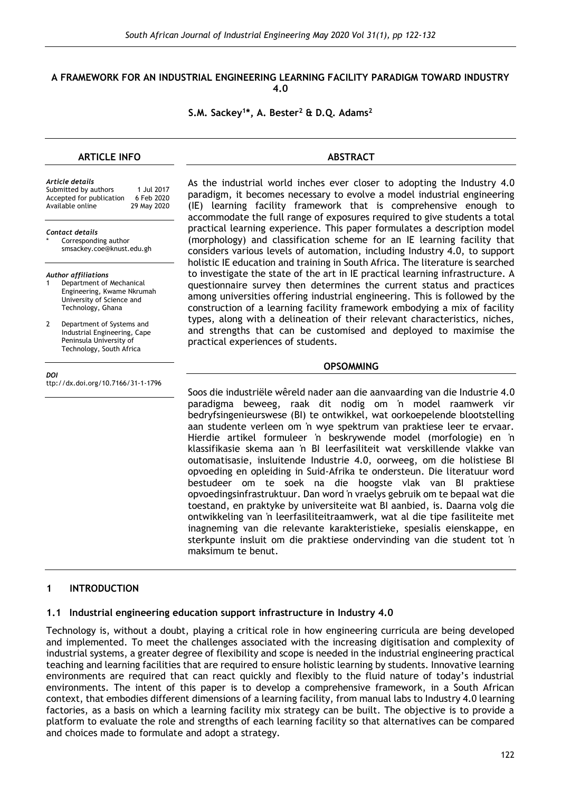#### **A FRAMEWORK FOR AN INDUSTRIAL ENGINEERING LEARNING FACILITY PARADIGM TOWARD INDUSTRY 4.0**

# **S.M. Sackey<sup>1</sup> \*, A. Bester<sup>2</sup> & D.Q. Adams<sup>2</sup>**

### **ARTICLE INFO**

#### **ABSTRACT**

*Article details*

| Submitted by authors     | 1 Jul 2017  |
|--------------------------|-------------|
| Accepted for publication | 6 Feb 2020  |
| Available online         | 29 May 2020 |
|                          |             |

*Contact details* Corresponding author smsackey.coe@knust.edu.gh

*Author affiliations*

- Department of Mechanical Engineering, Kwame Nkrumah University of Science and Technology, Ghana
- Department of Systems and Industrial Engineering, Cape Peninsula University of Technology, South Africa

#### *DOI*

ttp://dx.doi.org/10.7166/31-1-1796

As the industrial world inches ever closer to adopting the Industry 4.0 paradigm, it becomes necessary to evolve a model industrial engineering (IE) learning facility framework that is comprehensive enough to accommodate the full range of exposures required to give students a total practical learning experience. This paper formulates a description model (morphology) and classification scheme for an IE learning facility that considers various levels of automation, including Industry 4.0, to support holistic IE education and training in South Africa. The literature is searched to investigate the state of the art in IE practical learning infrastructure. A questionnaire survey then determines the current status and practices among universities offering industrial engineering. This is followed by the construction of a learning facility framework embodying a mix of facility types, along with a delineation of their relevant characteristics, niches, and strengths that can be customised and deployed to maximise the practical experiences of students.

#### **OPSOMMING**

Soos die industriële wêreld nader aan die aanvaarding van die Industrie 4.0 paradigma beweeg, raak dit nodig om 'n model raamwerk vir bedryfsingenieurswese (BI) te ontwikkel, wat oorkoepelende blootstelling aan studente verleen om 'n wye spektrum van praktiese leer te ervaar. Hierdie artikel formuleer 'n beskrywende model (morfologie) en 'n klassifikasie skema aan 'n BI leerfasiliteit wat verskillende vlakke van outomatisasie, insluitende Industrie 4.0, oorweeg, om die holistiese BI opvoeding en opleiding in Suid-Afrika te ondersteun. Die literatuur word bestudeer om te soek na die hoogste vlak van BI praktiese opvoedingsinfrastruktuur. Dan word 'n vraelys gebruik om te bepaal wat die toestand, en praktyke by universiteite wat BI aanbied, is. Daarna volg die ontwikkeling van 'n leerfasiliteitraamwerk, wat al die tipe fasiliteite met inagneming van die relevante karakteristieke, spesialis eienskappe, en sterkpunte insluit om die praktiese ondervinding van die student tot 'n maksimum te benut.

### **1 INTRODUCTION**

### **1.1 Industrial engineering education support infrastructure in Industry 4.0**

Technology is, without a doubt, playing a critical role in how engineering curricula are being developed and implemented. To meet the challenges associated with the increasing digitisation and complexity of industrial systems, a greater degree of flexibility and scope is needed in the industrial engineering practical teaching and learning facilities that are required to ensure holistic learning by students. Innovative learning environments are required that can react quickly and flexibly to the fluid nature of today's industrial environments. The intent of this paper is to develop a comprehensive framework, in a South African context, that embodies different dimensions of a learning facility, from manual labs to Industry 4.0 learning factories, as a basis on which a learning facility mix strategy can be built. The objective is to provide a platform to evaluate the role and strengths of each learning facility so that alternatives can be compared and choices made to formulate and adopt a strategy.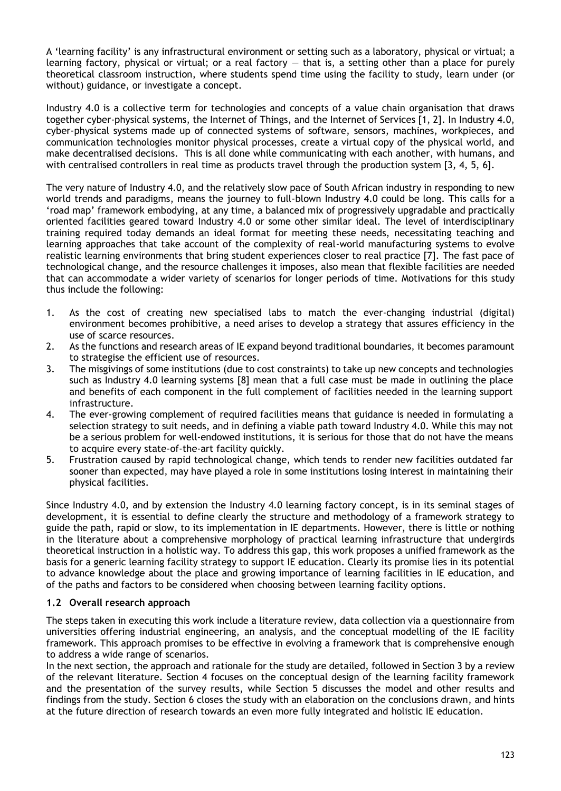A 'learning facility' is any infrastructural environment or setting such as a laboratory, physical or virtual; a learning factory, physical or virtual; or a real factory — that is, a setting other than a place for purely theoretical classroom instruction, where students spend time using the facility to study, learn under (or without) guidance, or investigate a concept.

Industry 4.0 is a collective term for technologies and concepts of a value chain organisation that draws together cyber-physical systems, the Internet of Things, and the Internet of Services [1, 2]. In Industry 4.0, cyber-physical systems made up of connected systems of software, sensors, machines, workpieces, and communication technologies monitor physical processes, create a virtual copy of the physical world, and make decentralised decisions. This is all done while communicating with each another, with humans, and with centralised controllers in real time as products travel through the production system [3, 4, 5, 6].

The very nature of Industry 4.0, and the relatively slow pace of South African industry in responding to new world trends and paradigms, means the journey to full-blown Industry 4.0 could be long. This calls for a 'road map' framework embodying, at any time, a balanced mix of progressively upgradable and practically oriented facilities geared toward Industry 4.0 or some other similar ideal. The level of interdisciplinary training required today demands an ideal format for meeting these needs, necessitating teaching and learning approaches that take account of the complexity of real-world manufacturing systems to evolve realistic learning environments that bring student experiences closer to real practice [7]. The fast pace of technological change, and the resource challenges it imposes, also mean that flexible facilities are needed that can accommodate a wider variety of scenarios for longer periods of time. Motivations for this study thus include the following:

- 1. As the cost of creating new specialised labs to match the ever-changing industrial (digital) environment becomes prohibitive, a need arises to develop a strategy that assures efficiency in the use of scarce resources.
- 2. As the functions and research areas of IE expand beyond traditional boundaries, it becomes paramount to strategise the efficient use of resources.
- 3. The misgivings of some institutions (due to cost constraints) to take up new concepts and technologies such as Industry 4.0 learning systems [8] mean that a full case must be made in outlining the place and benefits of each component in the full complement of facilities needed in the learning support infrastructure.
- 4. The ever-growing complement of required facilities means that guidance is needed in formulating a selection strategy to suit needs, and in defining a viable path toward Industry 4.0. While this may not be a serious problem for well-endowed institutions, it is serious for those that do not have the means to acquire every state-of-the-art facility quickly.
- 5. Frustration caused by rapid technological change, which tends to render new facilities outdated far sooner than expected, may have played a role in some institutions losing interest in maintaining their physical facilities.

Since Industry 4.0, and by extension the Industry 4.0 learning factory concept, is in its seminal stages of development, it is essential to define clearly the structure and methodology of a framework strategy to guide the path, rapid or slow, to its implementation in IE departments. However, there is little or nothing in the literature about a comprehensive morphology of practical learning infrastructure that undergirds theoretical instruction in a holistic way. To address this gap, this work proposes a unified framework as the basis for a generic learning facility strategy to support IE education. Clearly its promise lies in its potential to advance knowledge about the place and growing importance of learning facilities in IE education, and of the paths and factors to be considered when choosing between learning facility options.

# **1.2 Overall research approach**

The steps taken in executing this work include a literature review, data collection via a questionnaire from universities offering industrial engineering, an analysis, and the conceptual modelling of the IE facility framework. This approach promises to be effective in evolving a framework that is comprehensive enough to address a wide range of scenarios.

In the next section, the approach and rationale for the study are detailed, followed in Section 3 by a review of the relevant literature. Section 4 focuses on the conceptual design of the learning facility framework and the presentation of the survey results, while Section 5 discusses the model and other results and findings from the study. Section 6 closes the study with an elaboration on the conclusions drawn, and hints at the future direction of research towards an even more fully integrated and holistic IE education.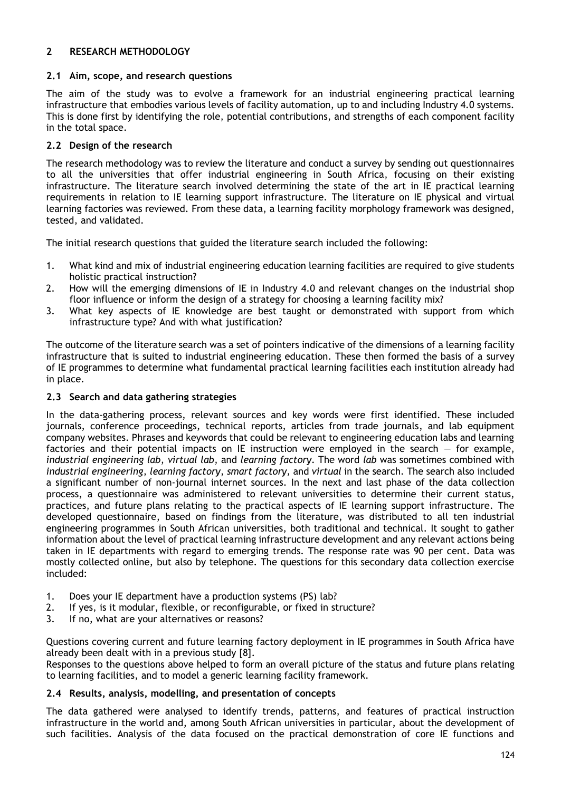### **2 RESEARCH METHODOLOGY**

### **2.1 Aim, scope, and research questions**

The aim of the study was to evolve a framework for an industrial engineering practical learning infrastructure that embodies various levels of facility automation, up to and including Industry 4.0 systems. This is done first by identifying the role, potential contributions, and strengths of each component facility in the total space.

# **2.2 Design of the research**

The research methodology was to review the literature and conduct a survey by sending out questionnaires to all the universities that offer industrial engineering in South Africa, focusing on their existing infrastructure. The literature search involved determining the state of the art in IE practical learning requirements in relation to IE learning support infrastructure. The literature on IE physical and virtual learning factories was reviewed. From these data, a learning facility morphology framework was designed, tested, and validated.

The initial research questions that guided the literature search included the following:

- 1. What kind and mix of industrial engineering education learning facilities are required to give students holistic practical instruction?
- 2. How will the emerging dimensions of IE in Industry 4.0 and relevant changes on the industrial shop floor influence or inform the design of a strategy for choosing a learning facility mix?
- 3. What key aspects of IE knowledge are best taught or demonstrated with support from which infrastructure type? And with what justification?

The outcome of the literature search was a set of pointers indicative of the dimensions of a learning facility infrastructure that is suited to industrial engineering education. These then formed the basis of a survey of IE programmes to determine what fundamental practical learning facilities each institution already had in place.

# **2.3 Search and data gathering strategies**

In the data-gathering process, relevant sources and key words were first identified. These included journals, conference proceedings, technical reports, articles from trade journals, and lab equipment company websites. Phrases and keywords that could be relevant to engineering education labs and learning factories and their potential impacts on IE instruction were employed in the search - for example, *industrial engineering lab*, *virtual lab*, and *learning factory*. The word *lab* was sometimes combined with *industrial engineering*, *learning factory*, *smart factory,* and *virtual* in the search. The search also included a significant number of non-journal internet sources. In the next and last phase of the data collection process, a questionnaire was administered to relevant universities to determine their current status, practices, and future plans relating to the practical aspects of IE learning support infrastructure. The developed questionnaire, based on findings from the literature, was distributed to all ten industrial engineering programmes in South African universities, both traditional and technical. It sought to gather information about the level of practical learning infrastructure development and any relevant actions being taken in IE departments with regard to emerging trends. The response rate was 90 per cent. Data was mostly collected online, but also by telephone. The questions for this secondary data collection exercise included:

- 1. Does your IE department have a production systems (PS) lab?
- 2. If yes, is it modular, flexible, or reconfigurable, or fixed in structure?
- 3. If no, what are your alternatives or reasons?

Questions covering current and future learning factory deployment in IE programmes in South Africa have already been dealt with in a previous study [8].

Responses to the questions above helped to form an overall picture of the status and future plans relating to learning facilities, and to model a generic learning facility framework.

### **2.4 Results, analysis, modelling, and presentation of concepts**

The data gathered were analysed to identify trends, patterns, and features of practical instruction infrastructure in the world and, among South African universities in particular, about the development of such facilities. Analysis of the data focused on the practical demonstration of core IE functions and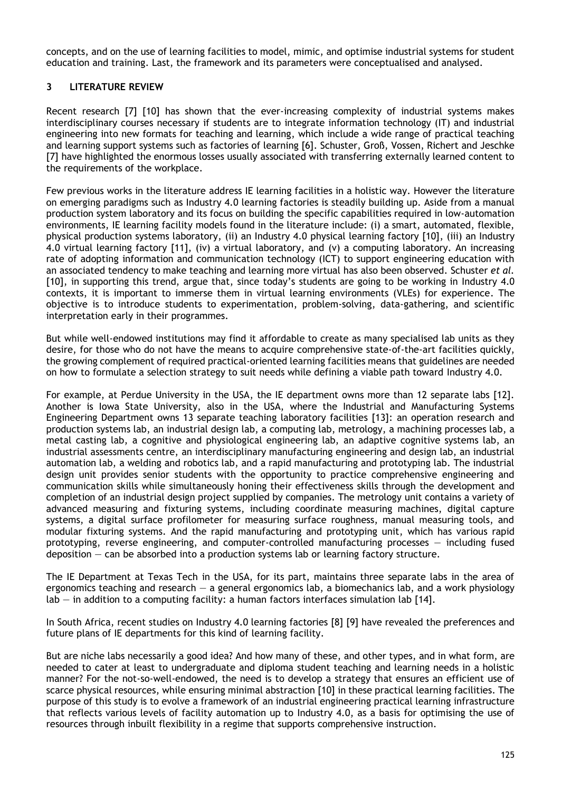concepts, and on the use of learning facilities to model, mimic, and optimise industrial systems for student education and training. Last, the framework and its parameters were conceptualised and analysed.

# **3 LITERATURE REVIEW**

Recent research [7] [10] has shown that the ever-increasing complexity of industrial systems makes interdisciplinary courses necessary if students are to integrate information technology (IT) and industrial engineering into new formats for teaching and learning, which include a wide range of practical teaching and learning support systems such as factories of learning [6]. Schuster, Groß, Vossen, Richert and Jeschke [7] have highlighted the enormous losses usually associated with transferring externally learned content to the requirements of the workplace.

Few previous works in the literature address IE learning facilities in a holistic way. However the literature on emerging paradigms such as Industry 4.0 learning factories is steadily building up. Aside from a manual production system laboratory and its focus on building the specific capabilities required in low-automation environments, IE learning facility models found in the literature include: (i) a smart, automated, flexible, physical production systems laboratory, (ii) an Industry 4.0 physical learning factory [10], (iii) an Industry 4.0 virtual learning factory [11], (iv) a virtual laboratory, and (v) a computing laboratory. An increasing rate of adopting information and communication technology (ICT) to support engineering education with an associated tendency to make teaching and learning more virtual has also been observed. Schuster *et al.* [10], in supporting this trend, argue that, since today's students are going to be working in Industry 4.0 contexts, it is important to immerse them in virtual learning environments (VLEs) for experience. The objective is to introduce students to experimentation, problem-solving, data-gathering, and scientific interpretation early in their programmes.

But while well-endowed institutions may find it affordable to create as many specialised lab units as they desire, for those who do not have the means to acquire comprehensive state-of-the-art facilities quickly, the growing complement of required practical-oriented learning facilities means that guidelines are needed on how to formulate a selection strategy to suit needs while defining a viable path toward Industry 4.0.

For example, at Perdue University in the USA, the IE department owns more than 12 separate labs [12]. Another is Iowa State University, also in the USA, where the Industrial and Manufacturing Systems Engineering Department owns 13 separate teaching laboratory facilities [13]: an operation research and production systems lab, an industrial design lab, a computing lab, metrology, a machining processes lab, a metal casting lab, a cognitive and physiological engineering lab, an adaptive cognitive systems lab, an industrial assessments centre, an interdisciplinary manufacturing engineering and design lab, an industrial automation lab, a welding and robotics lab, and a rapid manufacturing and prototyping lab. The industrial design unit provides senior students with the opportunity to practice comprehensive engineering and communication skills while simultaneously honing their effectiveness skills through the development and completion of an industrial design project supplied by companies. The metrology unit contains a variety of advanced measuring and fixturing systems, including coordinate measuring machines, digital capture systems, a digital surface profilometer for measuring surface roughness, manual measuring tools, and modular fixturing systems. And the rapid manufacturing and prototyping unit, which has various rapid prototyping, reverse engineering, and computer-controlled manufacturing processes — including fused deposition — can be absorbed into a production systems lab or learning factory structure.

The IE Department at Texas Tech in the USA, for its part, maintains three separate labs in the area of ergonomics teaching and research — a general ergonomics lab, a biomechanics lab, and a work physiology lab – in addition to a computing facility: a human factors interfaces simulation lab [14].

In South Africa, recent studies on Industry 4.0 learning factories [8] [9] have revealed the preferences and future plans of IE departments for this kind of learning facility.

But are niche labs necessarily a good idea? And how many of these, and other types, and in what form, are needed to cater at least to undergraduate and diploma student teaching and learning needs in a holistic manner? For the not-so-well-endowed, the need is to develop a strategy that ensures an efficient use of scarce physical resources, while ensuring minimal abstraction [10] in these practical learning facilities. The purpose of this study is to evolve a framework of an industrial engineering practical learning infrastructure that reflects various levels of facility automation up to Industry 4.0, as a basis for optimising the use of resources through inbuilt flexibility in a regime that supports comprehensive instruction.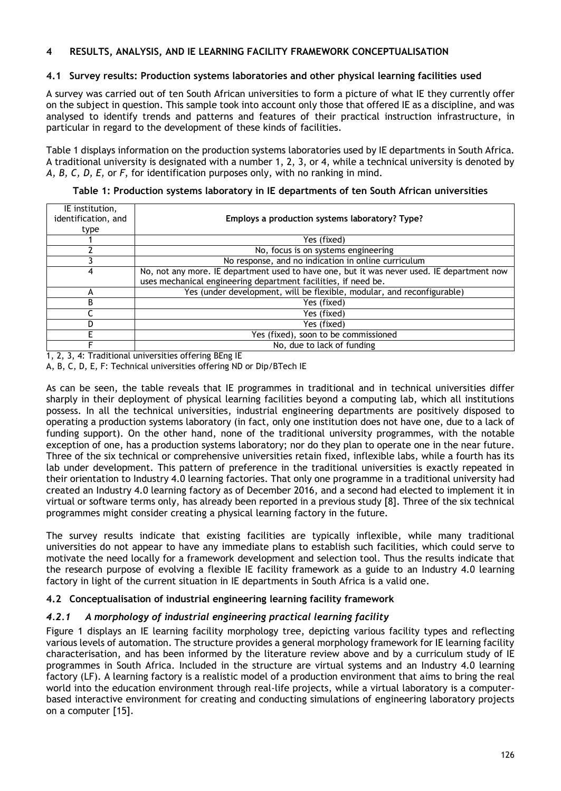# **4 RESULTS, ANALYSIS, AND IE LEARNING FACILITY FRAMEWORK CONCEPTUALISATION**

### **4.1 Survey results: Production systems laboratories and other physical learning facilities used**

A survey was carried out of ten South African universities to form a picture of what IE they currently offer on the subject in question. This sample took into account only those that offered IE as a discipline, and was analysed to identify trends and patterns and features of their practical instruction infrastructure, in particular in regard to the development of these kinds of facilities.

Table 1 displays information on the production systems laboratories used by IE departments in South Africa. A traditional university is designated with a number 1, 2, 3, or 4, while a technical university is denoted by *A, B, C, D, E,* or *F*, for identification purposes only, with no ranking in mind.

| IE institution,<br>identification, and<br>type | Employs a production systems laboratory? Type?                                             |  |  |
|------------------------------------------------|--------------------------------------------------------------------------------------------|--|--|
|                                                | Yes (fixed)                                                                                |  |  |
|                                                | No, focus is on systems engineering                                                        |  |  |
|                                                | No response, and no indication in online curriculum                                        |  |  |
| 4                                              | No, not any more. IE department used to have one, but it was never used. IE department now |  |  |
|                                                | uses mechanical engineering department facilities, if need be.                             |  |  |
| А                                              | Yes (under development, will be flexible, modular, and reconfigurable)                     |  |  |
| В                                              | Yes (fixed)                                                                                |  |  |
|                                                | Yes (fixed)                                                                                |  |  |
|                                                | Yes (fixed)                                                                                |  |  |
|                                                | Yes (fixed), soon to be commissioned                                                       |  |  |
|                                                | No, due to lack of funding                                                                 |  |  |

**Table 1: Production systems laboratory in IE departments of ten South African universities**

1, 2, 3, 4: Traditional universities offering BEng IE

A, B, C, D, E, F: Technical universities offering ND or Dip/BTech IE

As can be seen, the table reveals that IE programmes in traditional and in technical universities differ sharply in their deployment of physical learning facilities beyond a computing lab, which all institutions possess. In all the technical universities, industrial engineering departments are positively disposed to operating a production systems laboratory (in fact, only one institution does not have one, due to a lack of funding support). On the other hand, none of the traditional university programmes, with the notable exception of one, has a production systems laboratory; nor do they plan to operate one in the near future. Three of the six technical or comprehensive universities retain fixed, inflexible labs, while a fourth has its lab under development. This pattern of preference in the traditional universities is exactly repeated in their orientation to Industry 4.0 learning factories. That only one programme in a traditional university had created an Industry 4.0 learning factory as of December 2016, and a second had elected to implement it in virtual or software terms only, has already been reported in a previous study [8]. Three of the six technical programmes might consider creating a physical learning factory in the future.

The survey results indicate that existing facilities are typically inflexible, while many traditional universities do not appear to have any immediate plans to establish such facilities, which could serve to motivate the need locally for a framework development and selection tool. Thus the results indicate that the research purpose of evolving a flexible IE facility framework as a guide to an Industry 4.0 learning factory in light of the current situation in IE departments in South Africa is a valid one.

### **4.2 Conceptualisation of industrial engineering learning facility framework**

# *4.2.1 A morphology of industrial engineering practical learning facility*

Figure 1 displays an IE learning facility morphology tree, depicting various facility types and reflecting various levels of automation. The structure provides a general morphology framework for IE learning facility characterisation, and has been informed by the literature review above and by a curriculum study of IE programmes in South Africa. Included in the structure are virtual systems and an Industry 4.0 learning factory (LF). A learning factory is a realistic model of a production environment that aims to bring the real world into the education environment through real-life projects, while a virtual laboratory is a computerbased interactive environment for creating and conducting simulations of engineering laboratory projects on a computer [15].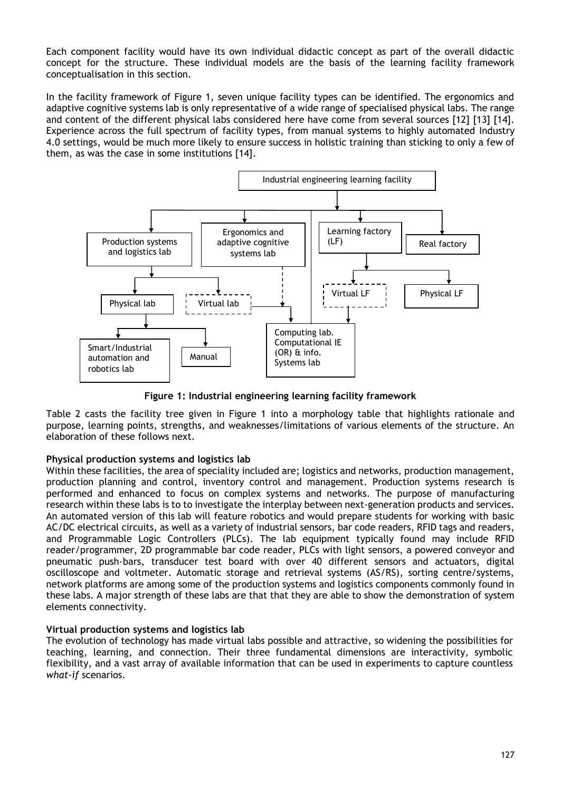Each component facility would have its own individual didactic concept as part of the overall didactic concept for the structure. These individual models are the basis of the learning facility framework conceptualisation in this section.

In the facility framework of Figure 1, seven unique facility types can be identified. The ergonomics and adaptive cognitive systems lab is only representative of a wide range of specialised physical labs. The range and content of the different physical labs considered here have come from several sources [12] [13] [14]. Experience across the full spectrum of facility types, from manual systems to highly automated Industry 4.0 settings, would be much more likely to ensure success in holistic training than sticking to only a few of them, as was the case in some institutions [14].



**Figure 1: Industrial engineering learning facility framework** 

Table 2 casts the facility tree given in Figure 1 into a morphology table that highlights rationale and purpose, learning points, strengths, and weaknesses/limitations of various elements of the structure. An elaboration of these follows next.

# **Physical production systems and logistics lab**

Within these facilities, the area of speciality included are; logistics and networks, production management, production planning and control, inventory control and management. Production systems research is performed and enhanced to focus on complex systems and networks. The purpose of manufacturing research within these labs is to to investigate the interplay between next-generation products and services. An automated version of this lab will feature robotics and would prepare students for working with basic AC/DC electrical circuits, as well as a variety of industrial sensors, bar code readers, RFID tags and readers, and Programmable Logic Controllers (PLCs). The lab equipment typically found may include RFID reader/programmer, 2D programmable bar code reader, PLCs with light sensors, a powered conveyor and pneumatic push-bars, transducer test board with over 40 different sensors and actuators, digital oscilloscope and voltmeter. Automatic storage and retrieval systems (AS/RS), sorting centre/systems, network platforms are among some of the production systems and logistics components commonly found in these labs. A major strength of these labs are that that they are able to show the demonstration of system elements connectivity.

# **Virtual production systems and logistics lab**

The evolution of technology has made virtual labs possible and attractive, so widening the possibilities for teaching, learning, and connection. Their three fundamental dimensions are interactivity, symbolic flexibility, and a vast array of available information that can be used in experiments to capture countless *what-if* scenarios.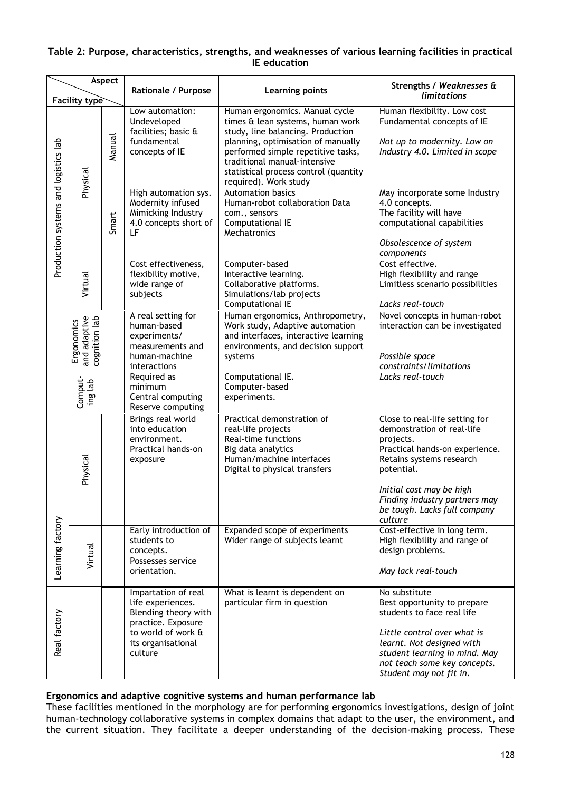### **Table 2: Purpose, characteristics, strengths, and weaknesses of various learning facilities in practical IE education**

| Aspect                               |                                             |        | Rationale / Purpose                                                                                                                           | Learning points                                                                                                                                                                                                                                                                       | Strengths / Weaknesses &                                                                                                                                                                                                                                      |
|--------------------------------------|---------------------------------------------|--------|-----------------------------------------------------------------------------------------------------------------------------------------------|---------------------------------------------------------------------------------------------------------------------------------------------------------------------------------------------------------------------------------------------------------------------------------------|---------------------------------------------------------------------------------------------------------------------------------------------------------------------------------------------------------------------------------------------------------------|
| <b>Facility type</b>                 |                                             |        |                                                                                                                                               |                                                                                                                                                                                                                                                                                       | limitations                                                                                                                                                                                                                                                   |
| Production systems and logistics lab | Physical                                    | Manual | Low automation:<br>Undeveloped<br>facilities; basic &<br>fundamental<br>concepts of IE                                                        | Human ergonomics. Manual cycle<br>times & lean systems, human work<br>study, line balancing. Production<br>planning, optimisation of manually<br>performed simple repetitive tasks,<br>traditional manual-intensive<br>statistical process control (quantity<br>required). Work study | Human flexibility. Low cost<br>Fundamental concepts of IE<br>Not up to modernity. Low on<br>Industry 4.0. Limited in scope                                                                                                                                    |
|                                      |                                             | Smart  | High automation sys.<br>Modernity infused<br>Mimicking Industry<br>4.0 concepts short of<br>LF                                                | <b>Automation basics</b><br>Human-robot collaboration Data<br>com., sensors<br>Computational IE<br>Mechatronics                                                                                                                                                                       | May incorporate some Industry<br>4.0 concepts.<br>The facility will have<br>computational capabilities<br>Obsolescence of system<br>components                                                                                                                |
|                                      | Virtual                                     |        | Cost effectiveness,<br>flexibility motive,<br>wide range of<br>subjects                                                                       | Computer-based<br>Interactive learning.<br>Collaborative platforms.<br>Simulations/lab projects<br>Computational IE                                                                                                                                                                   | Cost effective.<br>High flexibility and range<br>Limitless scenario possibilities<br>Lacks real-touch                                                                                                                                                         |
|                                      | and adaptive<br>cognition lab<br>Ergonomics |        | A real setting for<br>human-based<br>experiments/<br>measurements and<br>human-machine<br>interactions                                        | Human ergonomics, Anthropometry,<br>Work study, Adaptive automation<br>and interfaces, interactive learning<br>environments, and decision support<br>systems                                                                                                                          | Novel concepts in human-robot<br>interaction can be investigated<br>Possible space<br>constraints/limitations                                                                                                                                                 |
|                                      | Comput-<br>ing lab                          |        | Required as<br>minimum<br>Central computing<br>Reserve computing                                                                              | Computational IE.<br>Computer-based<br>experiments.                                                                                                                                                                                                                                   | Lacks real-touch                                                                                                                                                                                                                                              |
|                                      | Physical                                    |        | Brings real world<br>into education<br>environment.<br>Practical hands-on<br>exposure                                                         | Practical demonstration of<br>real-life projects<br>Real-time functions<br>Big data analytics<br>Human/machine interfaces<br>Digital to physical transfers                                                                                                                            | Close to real-life setting for<br>demonstration of real-life<br>projects.<br>Practical hands-on experience.<br>Retains systems research<br>potential.<br>Initial cost may be high<br>Finding industry partners may<br>be tough. Lacks full company<br>culture |
| ning factory<br>Jeai                 | rtual<br>⋝                                  |        | Early introduction of<br>students to<br>concepts.<br>Possesses service<br>orientation.                                                        | Expanded scope of experiments<br>Wider range of subjects learnt                                                                                                                                                                                                                       | Cost-effective in long term.<br>High flexibility and range of<br>design problems.<br>May lack real-touch                                                                                                                                                      |
| Real factory                         |                                             |        | Impartation of real<br>life experiences.<br>Blending theory with<br>practice. Exposure<br>to world of work &<br>its organisational<br>culture | What is learnt is dependent on<br>particular firm in question                                                                                                                                                                                                                         | No substitute<br>Best opportunity to prepare<br>students to face real life<br>Little control over what is<br>learnt. Not designed with<br>student learning in mind. May<br>not teach some key concepts.<br>Student may not fit in.                            |

# **Ergonomics and adaptive cognitive systems and human performance lab**

These facilities mentioned in the morphology are for performing ergonomics investigations, design of joint human-technology collaborative systems in complex domains that adapt to the user, the environment, and the current situation. They facilitate a deeper understanding of the decision-making process. These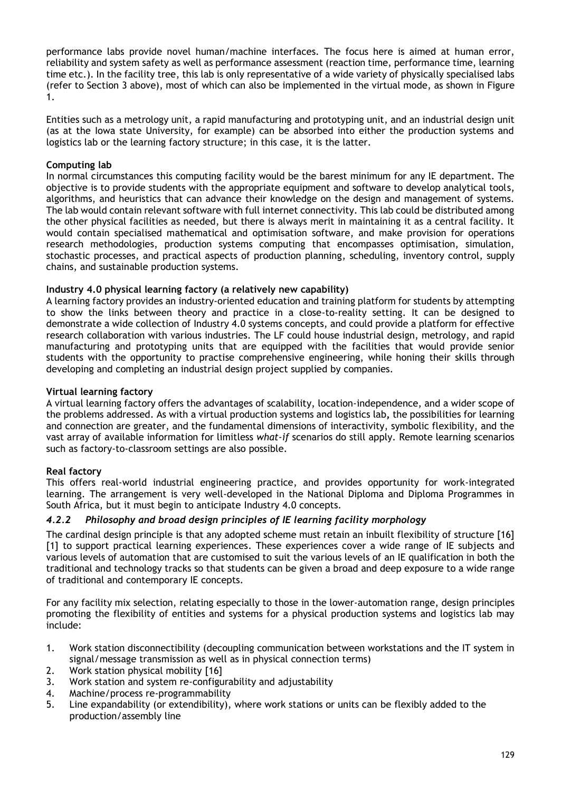performance labs provide novel human/machine interfaces. The focus here is aimed at human error, reliability and system safety as well as performance assessment (reaction time, performance time, learning time etc.). In the facility tree, this lab is only representative of a wide variety of physically specialised labs (refer to Section 3 above), most of which can also be implemented in the virtual mode, as shown in Figure 1.

Entities such as a metrology unit, a rapid manufacturing and prototyping unit, and an industrial design unit (as at the Iowa state University, for example) can be absorbed into either the production systems and logistics lab or the learning factory structure; in this case, it is the latter.

# **Computing lab**

In normal circumstances this computing facility would be the barest minimum for any IE department. The objective is to provide students with the appropriate equipment and software to develop analytical tools, algorithms, and heuristics that can advance their knowledge on the design and management of systems. The lab would contain relevant software with full internet connectivity. This lab could be distributed among the other physical facilities as needed, but there is always merit in maintaining it as a central facility. It would contain specialised mathematical and optimisation software, and make provision for operations research methodologies, production systems computing that encompasses optimisation, simulation, stochastic processes, and practical aspects of production planning, scheduling, inventory control, supply chains, and sustainable production systems.

### **Industry 4.0 physical learning factory (a relatively new capability)**

A learning factory provides an industry-oriented education and training platform for students by attempting to show the links between theory and practice in a close-to-reality setting. It can be designed to demonstrate a wide collection of Industry 4.0 systems concepts, and could provide a platform for effective research collaboration with various industries. The LF could house industrial design, metrology, and rapid manufacturing and prototyping units that are equipped with the facilities that would provide senior students with the opportunity to practise comprehensive engineering, while honing their skills through developing and completing an industrial design project supplied by companies.

### **Virtual learning factory**

A virtual learning factory offers the advantages of scalability, location-independence, and a wider scope of the problems addressed. As with a virtual production systems and logistics lab**,** the possibilities for learning and connection are greater, and the fundamental dimensions of interactivity, symbolic flexibility, and the vast array of available information for limitless *what-if* scenarios do still apply. Remote learning scenarios such as factory-to-classroom settings are also possible.

# **Real factory**

This offers real-world industrial engineering practice, and provides opportunity for work-integrated learning. The arrangement is very well-developed in the National Diploma and Diploma Programmes in South Africa, but it must begin to anticipate Industry 4.0 concepts.

# *4.2.2 Philosophy and broad design principles of IE learning facility morphology*

The cardinal design principle is that any adopted scheme must retain an inbuilt flexibility of structure [16] [1] to support practical learning experiences. These experiences cover a wide range of IE subjects and various levels of automation that are customised to suit the various levels of an IE qualification in both the traditional and technology tracks so that students can be given a broad and deep exposure to a wide range of traditional and contemporary IE concepts.

For any facility mix selection, relating especially to those in the lower-automation range, design principles promoting the flexibility of entities and systems for a physical production systems and logistics lab may include:

- 1. Work station disconnectibility (decoupling communication between workstations and the IT system in signal/message transmission as well as in physical connection terms)
- 2. Work station physical mobility [16]
- 3. Work station and system re-configurability and adjustability
- 4. Machine/process re-programmability
- 5. Line expandability (or extendibility), where work stations or units can be flexibly added to the production/assembly line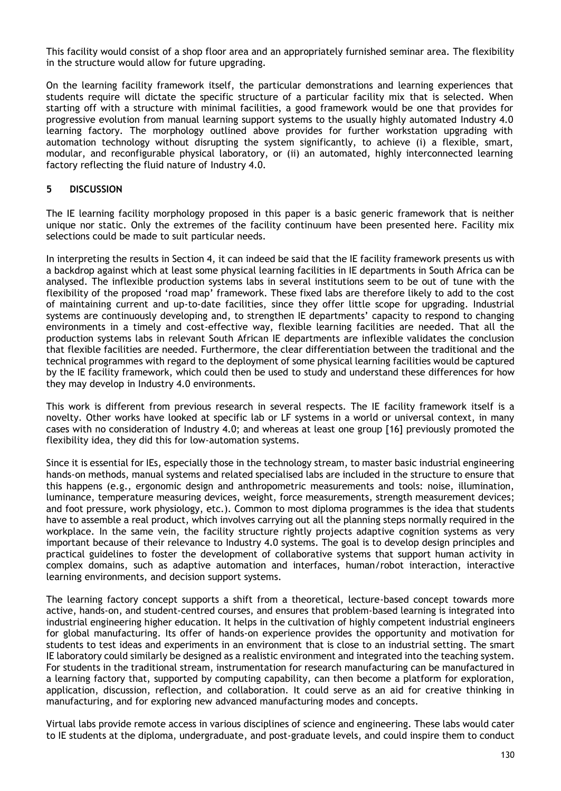This facility would consist of a shop floor area and an appropriately furnished seminar area. The flexibility in the structure would allow for future upgrading.

On the learning facility framework itself, the particular demonstrations and learning experiences that students require will dictate the specific structure of a particular facility mix that is selected. When starting off with a structure with minimal facilities, a good framework would be one that provides for progressive evolution from manual learning support systems to the usually highly automated Industry 4.0 learning factory. The morphology outlined above provides for further workstation upgrading with automation technology without disrupting the system significantly, to achieve (i) a flexible, smart, modular, and reconfigurable physical laboratory, or (ii) an automated, highly interconnected learning factory reflecting the fluid nature of Industry 4.0.

### **5 DISCUSSION**

The IE learning facility morphology proposed in this paper is a basic generic framework that is neither unique nor static. Only the extremes of the facility continuum have been presented here. Facility mix selections could be made to suit particular needs.

In interpreting the results in Section 4, it can indeed be said that the IE facility framework presents us with a backdrop against which at least some physical learning facilities in IE departments in South Africa can be analysed. The inflexible production systems labs in several institutions seem to be out of tune with the flexibility of the proposed 'road map' framework. These fixed labs are therefore likely to add to the cost of maintaining current and up-to-date facilities, since they offer little scope for upgrading. Industrial systems are continuously developing and, to strengthen IE departments' capacity to respond to changing environments in a timely and cost-effective way, flexible learning facilities are needed. That all the production systems labs in relevant South African IE departments are inflexible validates the conclusion that flexible facilities are needed. Furthermore, the clear differentiation between the traditional and the technical programmes with regard to the deployment of some physical learning facilities would be captured by the IE facility framework, which could then be used to study and understand these differences for how they may develop in Industry 4.0 environments.

This work is different from previous research in several respects. The IE facility framework itself is a novelty. Other works have looked at specific lab or LF systems in a world or universal context, in many cases with no consideration of Industry 4.0; and whereas at least one group [16] previously promoted the flexibility idea, they did this for low-automation systems.

Since it is essential for IEs, especially those in the technology stream, to master basic industrial engineering hands-on methods, manual systems and related specialised labs are included in the structure to ensure that this happens (e.g., ergonomic design and anthropometric measurements and tools: noise, illumination, luminance, temperature measuring devices, weight, force measurements, strength measurement devices; and foot pressure, work physiology, etc.). Common to most diploma programmes is the idea that students have to assemble a real product, which involves carrying out all the planning steps normally required in the workplace. In the same vein, the facility structure rightly projects adaptive cognition systems as very important because of their relevance to Industry 4.0 systems. The goal is to develop design principles and practical guidelines to foster the development of collaborative systems that support human activity in complex domains, such as adaptive automation and interfaces, human/robot interaction, interactive learning environments, and decision support systems.

The learning factory concept supports a shift from a theoretical, lecture-based concept towards more active, hands-on, and student-centred courses, and ensures that problem-based learning is integrated into industrial engineering higher education. It helps in the cultivation of highly competent industrial engineers for global manufacturing. Its offer of hands-on experience provides the opportunity and motivation for students to test ideas and experiments in an environment that is close to an industrial setting. The smart IE laboratory could similarly be designed as a realistic environment and integrated into the teaching system. For students in the traditional stream, instrumentation for research manufacturing can be manufactured in a learning factory that, supported by computing capability, can then become a platform for exploration, application, discussion, reflection, and collaboration. It could serve as an aid for creative thinking in manufacturing, and for exploring new advanced manufacturing modes and concepts.

Virtual labs provide remote access in various disciplines of science and engineering. These labs would cater to IE students at the diploma, undergraduate, and post-graduate levels, and could inspire them to conduct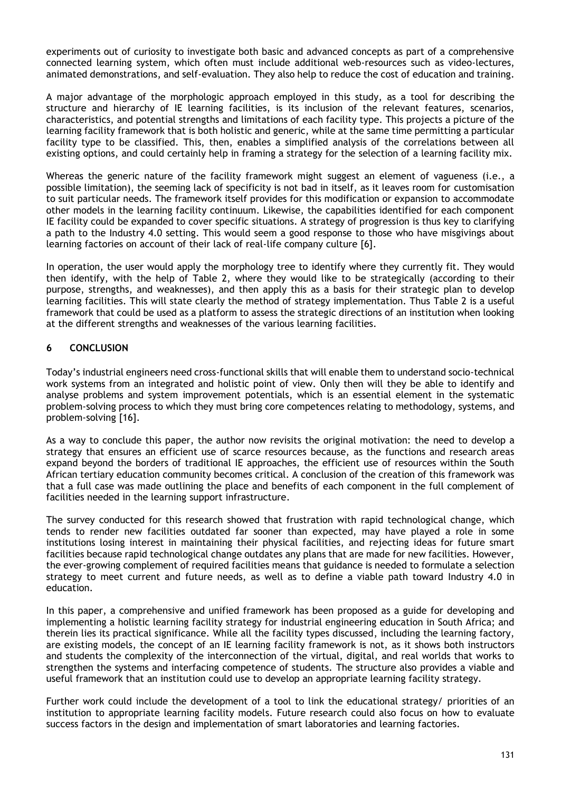experiments out of curiosity to investigate both basic and advanced concepts as part of a comprehensive connected learning system, which often must include additional web-resources such as video-lectures, animated demonstrations, and self-evaluation. They also help to reduce the cost of education and training.

A major advantage of the morphologic approach employed in this study, as a tool for describing the structure and hierarchy of IE learning facilities, is its inclusion of the relevant features, scenarios, characteristics, and potential strengths and limitations of each facility type. This projects a picture of the learning facility framework that is both holistic and generic, while at the same time permitting a particular facility type to be classified. This, then, enables a simplified analysis of the correlations between all existing options, and could certainly help in framing a strategy for the selection of a learning facility mix.

Whereas the generic nature of the facility framework might suggest an element of vagueness (i.e., a possible limitation), the seeming lack of specificity is not bad in itself, as it leaves room for customisation to suit particular needs. The framework itself provides for this modification or expansion to accommodate other models in the learning facility continuum. Likewise, the capabilities identified for each component IE facility could be expanded to cover specific situations. A strategy of progression is thus key to clarifying a path to the Industry 4.0 setting. This would seem a good response to those who have misgivings about learning factories on account of their lack of real-life company culture [6].

In operation, the user would apply the morphology tree to identify where they currently fit. They would then identify, with the help of Table 2, where they would like to be strategically (according to their purpose, strengths, and weaknesses), and then apply this as a basis for their strategic plan to develop learning facilities. This will state clearly the method of strategy implementation. Thus Table 2 is a useful framework that could be used as a platform to assess the strategic directions of an institution when looking at the different strengths and weaknesses of the various learning facilities.

# **6 CONCLUSION**

Today's industrial engineers need cross-functional skills that will enable them to understand socio-technical work systems from an integrated and holistic point of view. Only then will they be able to identify and analyse problems and system improvement potentials, which is an essential element in the systematic problem-solving process to which they must bring core competences relating to methodology, systems, and problem-solving [16].

As a way to conclude this paper, the author now revisits the original motivation: the need to develop a strategy that ensures an efficient use of scarce resources because, as the functions and research areas expand beyond the borders of traditional IE approaches, the efficient use of resources within the South African tertiary education community becomes critical. A conclusion of the creation of this framework was that a full case was made outlining the place and benefits of each component in the full complement of facilities needed in the learning support infrastructure.

The survey conducted for this research showed that frustration with rapid technological change, which tends to render new facilities outdated far sooner than expected, may have played a role in some institutions losing interest in maintaining their physical facilities, and rejecting ideas for future smart facilities because rapid technological change outdates any plans that are made for new facilities. However, the ever-growing complement of required facilities means that guidance is needed to formulate a selection strategy to meet current and future needs, as well as to define a viable path toward Industry 4.0 in education.

In this paper, a comprehensive and unified framework has been proposed as a guide for developing and implementing a holistic learning facility strategy for industrial engineering education in South Africa; and therein lies its practical significance. While all the facility types discussed, including the learning factory, are existing models, the concept of an IE learning facility framework is not, as it shows both instructors and students the complexity of the interconnection of the virtual, digital, and real worlds that works to strengthen the systems and interfacing competence of students. The structure also provides a viable and useful framework that an institution could use to develop an appropriate learning facility strategy.

Further work could include the development of a tool to link the educational strategy/ priorities of an institution to appropriate learning facility models. Future research could also focus on how to evaluate success factors in the design and implementation of smart laboratories and learning factories.